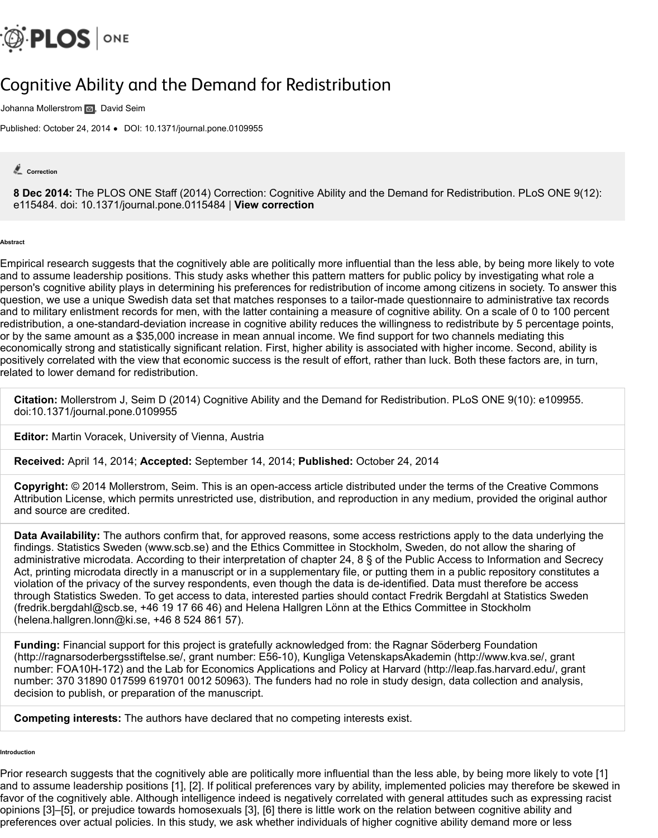and to military enlistment records for men, with the latter containing a measure of cogn redistribution, a one-standard-deviation increase in cognitive ability reduces the willingre or by the same amount as a \$35,000 increase in mean annual income. We find suppor economically strong and statistically significant relation. First, higher ability is associate positively correlated with the view that economic success is the result of effort, rather the related to lower demand for redistribution.

**Citation:** Mollerstrom J, Seim D (2014) Cognitive Ability and the Demand for Redist doi:10.1371/journal.pone.0109955

**Editor:** Martin Voracek, University of Vienna, Austria

**Received:** April 14, 2014; **Accepted:** September 14, 2014; **Published:** October 24, 2014

**Copyright:**  $\odot$  **2014 Mollerstrom, Seim. This is an open-access article distributed under the Commons of Commons of Commons of Commons of Commons Commons Commons Commons Commons Commons Commons Commons Commons Commons Com** Attribution License, which permits unrestricted use, distribution, and reproduction in and source are credited.

**Data Availability:** The authors confirm that, for approved reasons, some access restrictions apply to the data unit findings. Statistics Sweden (www.scb.se) and the Ethics Committee in Stockholm, S administrative microdata. According to their interpretation of chapter 24, 8  $\S$  of the F Act, printing microdata directly in a manuscript or in a supplementary file, or putting violation of the privacy of the survey respondents, even though the data is de-identiform. through Statistics Sweden. To get access to data, interested parties should contact I (fredrik.bergdahl@scb.se,  $+46$  19 17 66 46) and Helena Hallgren Lönn at the Ethics (helena.hallgren.lonn@ki.se, +46 8 524 861 57).

**Funding:** Financial support for this project is gratefully acknowledged from: the Ragnar State Foundation (http://ragnarsoderbergsstiftelse.se/, grant number: E56-10), Kungliga VetenskapsA number: FOA10H-172) and the Lab for Economics Applications and Policy at Harva number: 370 31890 017599 619701 0012 50963). The funders had no role in study decision to publish, or preparation of the manuscript.

**Competing interests:** The authors have declared that no competing interests exist.

**Introduction**

Prior research suggests that the cognitively able are politically more influential than the and to assume leadership positions [1], [2]. If political preferences vary by ability, imple favor of the cognitively able. Although intelligence indeed is negatively correlated with general attitudes such a opinions [3]–[5], or prejudice towards homosexuals [3], [6] there is little work on the rela preferences over actual policies. In this study, we ask whether individuals of higher cog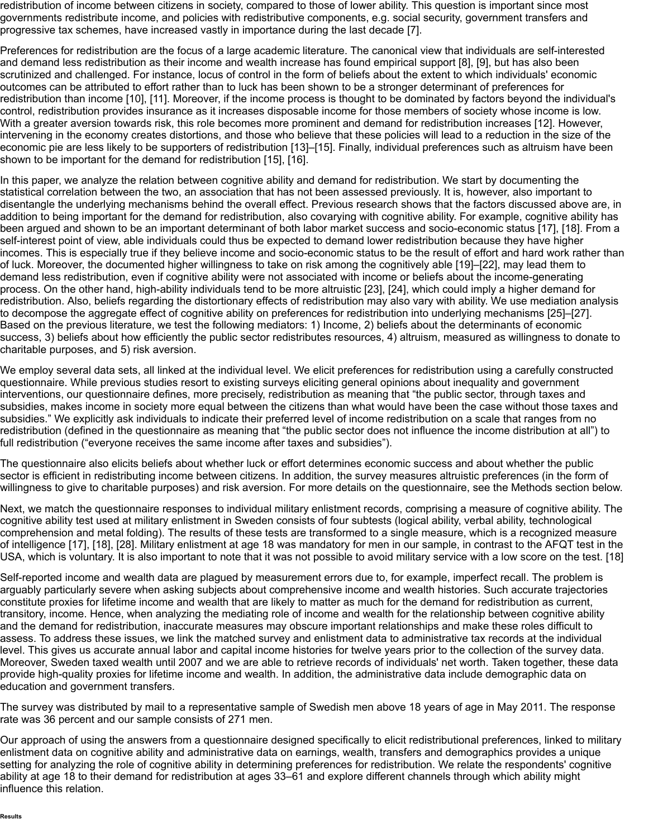redistribution. Also, beliefs regarding the distortionary effects of redistribution may also vary with ability. We use mediation analysis to decompose the aggregate effect of cognitive ability on preferences for redistribution Based on the previous literature, we test the following mediators: 1) Income, 2) beliefs success, 3) beliefs about how efficiently the public sector redistributes resources, 4) alt charitable purposes, and 5) risk aversion.

We employ several data sets, all linked at the individual level. We elicit preferences for questionnaire. While previous studies resort to existing surveys eliciting general opinion interventions, our questionnaire defines, more precisely, redistribution as meaning that subsidies, makes income i[n so](http://journals.plos.org/plosone/article?id=10.1371/journal.pone.0109955#pone.0109955-Fong1)[ciety](http://journals.plos.org/plosone/article?id=10.1371/journal.pone.0109955#pone.0109955-Alesina4) more equal between the citizens than what would h subsidies." We explicitly ask individuals to indicate their preferred level of income redistribution on a scale redistr[ibuti](http://journals.plos.org/plosone/article?id=10.1371/journal.pone.0109955#pone.0109955-Benabou1)on (defined in the questionnaire as meaning that "the public sector does not full redistribution ("everyone receives the same income after [taxes](http://journals.plos.org/plosone/article?id=10.1371/journal.pone.0109955#pone.0109955-Romer1) [and](http://journals.plos.org/plosone/article?id=10.1371/journal.pone.0109955#pone.0109955-Fong2) subsidies").

The questionnaire also elicits beliefs about whether luc[k or e](http://journals.plos.org/plosone/article?id=10.1371/journal.pone.0109955#pone.0109955-Fong2)[ffort](http://journals.plos.org/plosone/article?id=10.1371/journal.pone.0109955#pone.0109955-Alesina5) determines economic sector is efficient in redistributing income between citizens. In addition, the survey mea willingness to give to charitable purposes) and risk aversion. For more details on the question

Next, we match the questionnaire responses to individual military enlistment records, c cognitive ability test used at military enlistment in Sweden consists of four subtests (log comprehension and metal folding). The results of these tests are transformed to a sing of intelligence [17], [18], [28]. Military enlistment at age 18 was mandatory for men in o USA, which is voluntary. It is also important to note that it was not possible to avoid mil

Self-reported income and wealth data are plagued by measurement errors due to, for e arguably particularly severe when asking subjects about comprehensive inc[ome](http://journals.plos.org/plosone/article?id=10.1371/journal.pone.0109955#pone.0109955-Rustichini1) [and w](http://journals.plos.org/plosone/article?id=10.1371/journal.pone.0109955#pone.0109955-DeYoung1) constitute proxies for lifetime income and wealth that are likely to matter as much for th transitory, income. Hence, when analyzing the mediating role of income and wealth for and the demand for redistribution, inaccurate measures may obscure important relatior assess. To address these issues, we link the matched survey and enlistment data to ad level. This gives us accurate annual labor and capital income histories for twelve years Moreover, Sweden taxed wealth until 2007 and we are able to retrieve records of indivi provide high-quality proxies for lifetime income and wealth. In addition, the administrati education and government transfers.

The survey was distributed by mail to a representative sample of Swedish men above rate was 36 percent and our sample consists of 271 men.

Our approach of using the answers from a questionnaire designed specifically to elicit in enlistment data on cognitive ability and administrative data on earnings, wealth, transfe setting for analyzing the role of cognitive ability in determining preferences for redistribition. ability at age 18 to their demand for redistribution at ages 33–61 and explore different or influence this relation.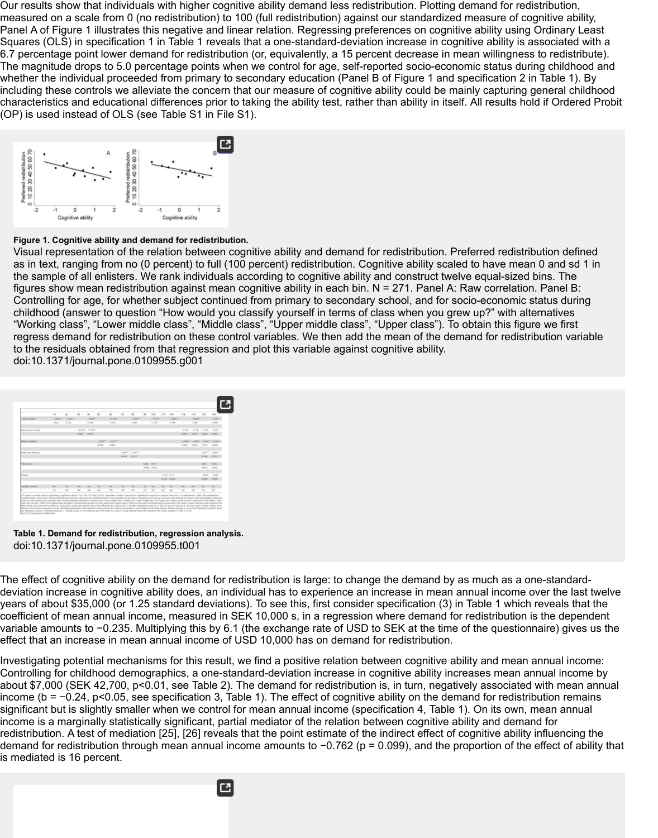childhood (answer to question "How would you classify yourself in terms of class wh "Working class", "Lower middle class", "Middle class", "Upper middle class", "Upper regress [demand](http://journals.plos.org/plosone/article?id=10.1371/journal.pone.0109955#pone-0109955-g001) for redistribution on these control variables. We then add the mean to the residuals obtained from th[at regre](http://journals.plos.org/plosone/article?id=10.1371/journal.pone.0109955#pone-0109955-t001)ssion and plot this variable against cognitive doi:10.1371/journal.pone.0109955.g001



**Table 1. Demand for redistribution, regression analysis.** doi:10.1371/journal.pone.0109955.t001

The effect of cognitive ability on the demand for redistribution is large: to change the demands on deviation increase in cognitive ability does, an individual has to experience an increase years of about \$35,000 (or 1.25 standard deviations). To see this, first consider specific coefficient of mean annual income, measured in SEK 10,000 s, in a regression where demand for redistribution is variable amounts to −0.235. Multiplying this by 6.1 (the exchange rate of USD to SEK a effect that an increase in mean annual income of USD 10,000 has on demand for redis

Investigating potential mechanisms for this result, we find a positive relation between c Controlling for childhood demographics, a one-standard-deviation increase in cognitive about \$7,000 (SEK 42,700, p<0.01, see Table 2). The demand for redistribution is, in tu income (b =  $-0.24$ , p<0.05, see specification 3, Table 1). The effect of cognitive ability on the demand for  $\alpha$ significant but is slightly smaller when we control for mean annual income (specification inco[me is a marginally statistically significant, p](http://journals.plos.org/plosone/article/figure/image?size=medium&id=info:doi/10.1371/journal.pone.0109955.t001)artial mediator of the relation between c redistribution. A test of mediation [25], [26] reveals that the point estimate of the indired demand for redistribution through mean annual income amounts to -0.762 (p = 0.099), is mediated is 16 percent.

C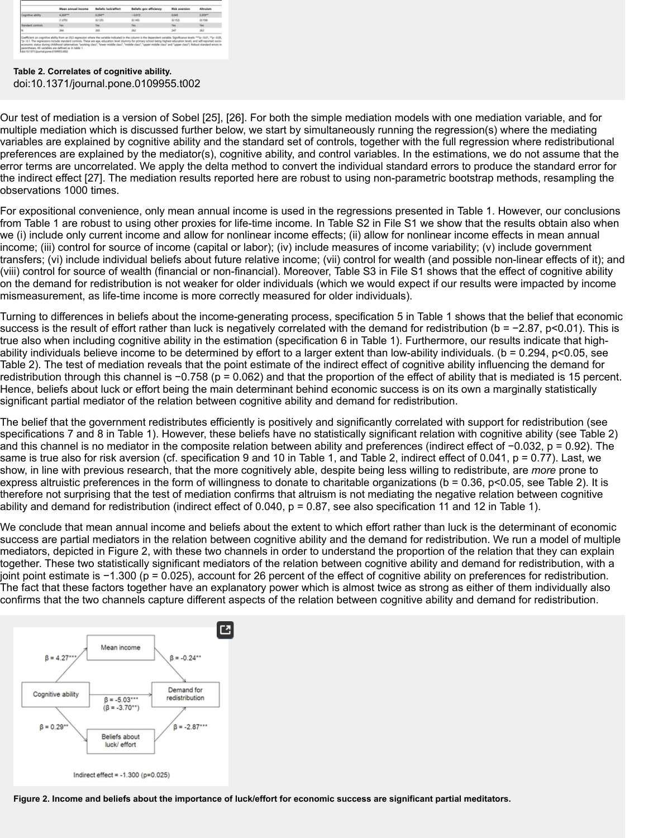Tur[ning to differences in beliefs about the incom](http://journals.plos.org/plosone/article/figure/image?size=medium&id=info:doi/10.1371/journal.pone.0109955.t002)e-generating process, specification 5 in success is the result of effort rather than luck is negatively correlated with the demand true also when including cognitive ability in the estimation (specification 6 in Table 1). F ability individuals believe income to be determined by effort to a larger extent than low-Table 2). The test of mediation reveals that the point estimate of the indirect effect of co redistribution through this channel is -0.758 (p = 0.062) and that the proportion of the  $\epsilon$ Hence, beliefs about luck or effort being the main determinant behind economic succes significant partial mediator of the relation between cognitive ability and demand for redi

The belief that the government redistribute[s eff](http://journals.plos.org/plosone/article?id=10.1371/journal.pone.0109955#pone.0109955-Sobel1)i[cient](http://journals.plos.org/plosone/article?id=10.1371/journal.pone.0109955#pone.0109955-Sobel2)ly is positively and significantly cor specifications 7 and 8 in Table 1). However, these beliefs have no statistically significar and this channel is no mediator in the composite relation between ability and preferenc same is true also for risk aversion (cf. specification 9 and 10 in Table 1, and Table 2, in show, in line with previous research, that the more cognitively able, despite being less **redistribute** express altruistic [prefe](http://journals.plos.org/plosone/article?id=10.1371/journal.pone.0109955#pone.0109955-MacKinnon1)rences in the form of willingness to donate to charitable organizations (b = 0.36, per therefore not surprising that the test of mediation confirms that altruism is not mediating ability and demand for redistribution (indirect effect of 0.040,  $p = 0.87$ , see also specific

We [conclude](http://journals.plos.org/plosone/article?id=10.1371/journal.pone.0109955#pone-0109955-t001) that mean annual income and beliefs about the extent to which effort rath success are partial mediators in the relation between cognitive ability and the demand mediators, depicted in Figure 2, with these two channels in order to understand the pro together. These two statistically significant mediators of the relation between cognitive joint point estimate is −1.300 (p = 0.025), account for 26 percent of the effect of cognition. The fact that these factors together have an explanatory power which is almost twice a confirms that the two channels capture different aspects of the relation between cogniti



Figure 2. Income and beliefs about the importance of luck/effort for economic success are signited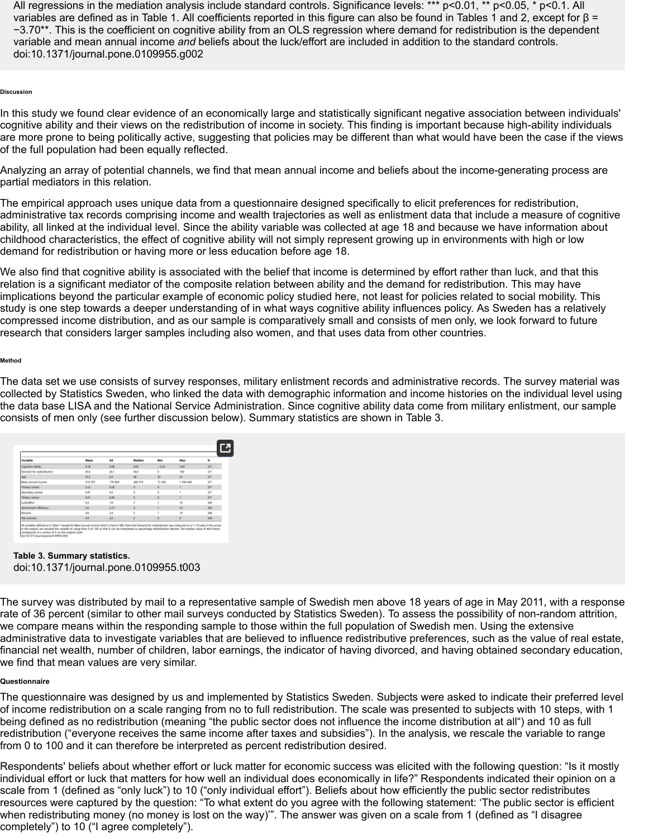study is one step towards a deeper understanding of in what ways cognitive ability influ compressed income distributi[on, and](http://journals.plos.org/plosone/article?id=10.1371/journal.pone.0109955#pone-0109955-t001) as our sample is comparatively small and consist research that considers larger samples including also women, and that uses data from

### **Method**

The data set we use consists of survey responses, military enlistment records and adm collected by Statistics Sweden, who linked the data with demographic information and the data base LISA and the National Service Administration. Since cognitive ability data consists of men only (see further discussion below). Summary statistics are shown in T

| Variable                   | <b>Misson</b> | \$d     | Median  | Min.     | Max       | ×   |
|----------------------------|---------------|---------|---------|----------|-----------|-----|
| Cognitive ability          | 0.16          | 0.96    | 646     | $= 2.19$ | 2.09      | 271 |
| Demand for redistribution. | 45.4          | 26.1    | 44.4    | ÷        | 100       | 271 |
| Apr                        | 47.2          | 8.4     | 48      | 35       | 68        | 271 |
| Mean annual income         | 315 557       | 170 804 | 386 954 | 15 156   | 1 346 648 | 271 |
| Primary school             | 0.12          | 0.33    | ø.      | ø.       | ï         | 291 |
| Secondary school           | 0.47          | 4.5     | ò.      | b        |           | 231 |
| <b>Tertlary school</b>     | 0.41          | 0.49    | ø.      | O.       |           | 271 |
| Luck/effort                | 4.3           | 1.8     | ž       |          | 10        | 269 |
| Government efficiency      | 3.6           | 2.15    | ı       |          | 10        | 265 |
| Altruism                   | 66            | 3.4     | 1       |          | 10        | 266 |
| <b>Risk aversion</b>       | 4.9           | 2.0     | y,      | ø        | ×         | 249 |

**Table 3. Summary statistics.** doi:10.1371/journal.pone.0109955.t003

The survey was distributed by mail to a representative sample of Swedish men above 1 rate of 36 percent (similar to other mail surveys conducted by Statistics Sweden). To as we compare means within the responding sample to those within the full population of administrative data to investigate variables that are believed to influence redistributive financial net wealth, number of children, labor earnings, the indicator of having divorce we find that mean values are very similar.

# **Questionnaire**

The questionnaire was designed by us and implemented by Statistics Sweden. Subject of income redistribution on a scale ranging from no to full redistribution. The scale was being defined as no redistributio[n \(meaning](http://journals.plos.org/plosone/article?id=10.1371/journal.pone.0109955#s3) "the public sector does not influence the in redistribution ("everyone receives the same income after taxes and subsidies"). In the a from 0 to 100 and it can therefore be interpreted as percent redistribution desired.

Res[pondents' beliefs about whether effort or lu](http://journals.plos.org/plosone/article/figure/image?size=medium&id=info:doi/10.1371/journal.pone.0109955.t003)ck matter for economic success was elic individual effort or luck that matters for how well an individual does economically in life' scale from 1 (defined as "only luck") to 10 ("only individual effort"). Beliefs about how et resources were captured by the question: "To what extent do you agree with the followi when redistributing money (no money is lost on the way)". The answer was given on a completely") to 10 ("I agree completely").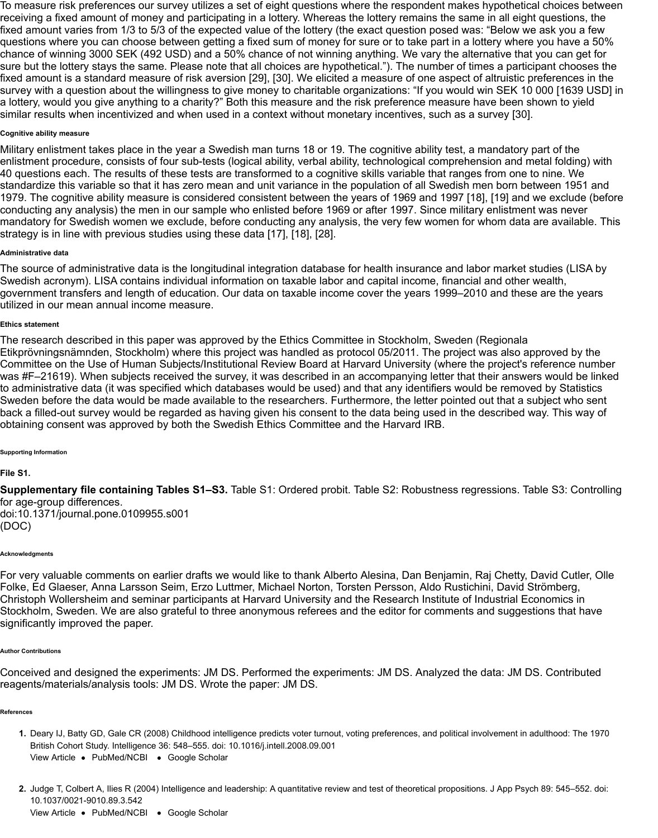utilized in our mean annual income measure.

### **Ethics statement**

The research described in this paper was approved by the Ethics Committee in Stockh Etikprövningsnämnden, Stockholm) where this project was handled as protocol 05/201 Committee on the Use of Human Subjects/Institutional Review Board at Harvard Unive was #F–21619). When subjects received the survey, it was described in an accompany to administrative data (it was specified which databa[ses](http://journals.plos.org/plosone/article?id=10.1371/journal.pone.0109955#pone.0109955-Holt1) [would](http://journals.plos.org/plosone/article?id=10.1371/journal.pone.0109955#pone.0109955-Falk1) be used) and that any id Sweden before the data would be made available to the researchers. Furthermore, the back a filled-out survey would be regarded as having given his consent to the data beir obtaining consent was approved by both the Swedish Ethics Committee and the Harva

**Supporting Information**

# **File S1.**

**Supplementary file containing Tables S1–S3.** Table S1: Ordered probit. Table S2: Regress for age-group differences.

doi:10.1371/journal.pone.0109955.s001 (DOC)

### **Acknowledgments**

For very valuable comments on earlier drafts we would like to thank Alberto Alesina, Dan Benjamin, David Cutler, Oller, Oller, Oller, Oller, Oller, Oller, Oller, Oller, Oller, Oller, Oller, Oller, Oller, Oller, Oller, Olle Folke, Ed Glaeser, Anna Larsson Seim, Erzo Luttmer, Michael Norton, Torsten Perssor Christoph Wollersheim and seminar participants at Harvard University and the Researd Stockholm, Sweden. We are also grateful to three anonymous referees and the editor for significantly improved the paper.

### **Author Contributions**

Conceived and designed the experiments: JM DS. Performed the experiments: JM DS. reagents/materials/analysis tools: JM DS. Wrote the paper: JM DS.

### **References**

- **1.** Deary IJ, Batty GD, Gale CR (2008) Childhood intelligence predicts voter turnout, voting preference British Cohort Study. Intelligence 36: 548–555. doi: 10.1016/j.intell.2008.09.001
	- View Article · PubMed/NCBI · Google Scholar
- **2.** Judge T, Colbert A, Ilies R (2004) Intelligence and leadership: A quantitative review and test of thec 10.1037/0021-9010.89.3.542

View Article • PubMed/NCBI • Google Scholar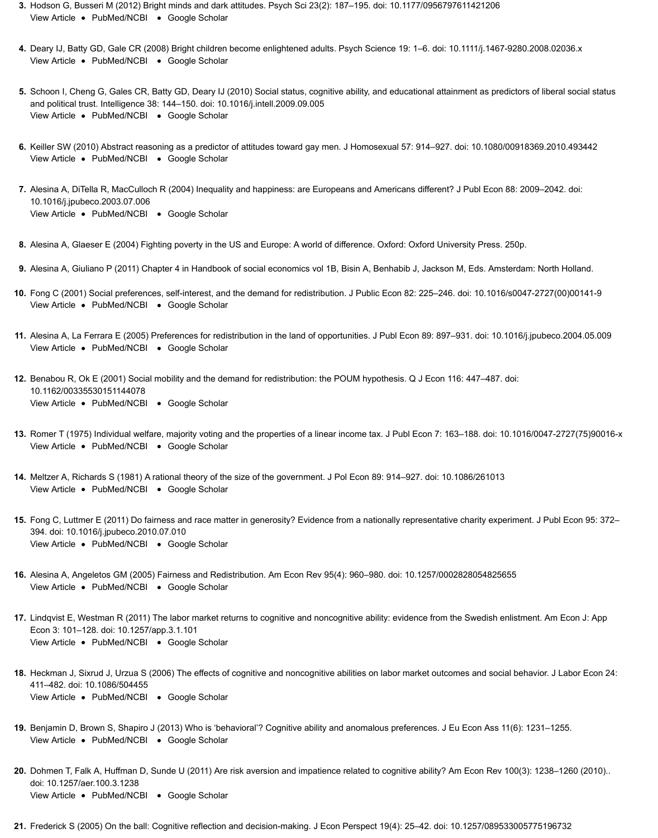$\sqrt{V}$ icw Article  $\sim$  T domcan vodi  $\sim$  Google Scholar

- View Article PubMed/NCBI Google Scholar 11. Alesina A, La Ferrara E (2005) Preferences for redistribution in the land of opportunities. J Publ Econ
- **12.** Benabou R, Ok E (2001) Social mobility and the demand for redistribution: the POUM hypothesis. O 10.1162/00335530151144078

View Article • PubMed/NCBI • Google Scholar

- View Article PubMed/NCBI Google Scholar **13.** Romer T (1975) Individual welfare, majority voting and the properties of a linear income tax. J Publ
- View Article PubMed/NCBI Google Scholar 14. Meltzer A, Richards S (1981) A rational theory of the size of the government. J Pol Econ 89: 914–9.
- **15.** [Fong C, Lutt](http://dx.doi.org/10.1016/j.jpubeco.2003.07.006)me[r E \(2011\) Do fa](http://www.ncbi.nlm.nih.gov/entrez/query.fcgi?db=PubMed&cmd=Search&doptcmdl=Citation&defaultField=Title+Word&term=Alesina%5Bauthor%5D+AND+Inequality+and+happiness%3A+are+Europeans+and+Americans+different%3F)irne[ss and race mat](http://scholar.google.com/scholar_lookup?title=Inequality+and+happiness%3A+are+Europeans+and+Americans+different%3F&author=Alesina&publication_year=2004)ter in generosity? Evidence from a nationally re 394. doi: 10.1016/j.jpubeco.2010.07.010
	- View Article PubMed/NCBI Google Scholar
- View Article PubMed/NCBI Google Scholar **16.** Alesina A, Angeletos GM (2005) Fairness and Redistribution. Am Econ Rev 95(4): 960–980. doi: 10.
- View Article PubMed/NCBI Google Scholar **17.** [Lindqvist E,](http://dx.doi.org/10.1016/s0047-2727(00)00141-9) We[stman R \(2011\)](http://www.ncbi.nlm.nih.gov/entrez/query.fcgi?db=PubMed&cmd=Search&doptcmdl=Citation&defaultField=Title+Word&term=Fong%5Bauthor%5D+AND+Social+preferences%2C+self-interest%2C+and+the+demand+for+redistribution) Th[e labor market re](http://scholar.google.com/scholar_lookup?title=Social+preferences%2C+self-interest%2C+and+the+demand+for+redistribution&author=Fong&publication_year=2001)turns to cognitive and noncognitive ability: evide Econ 3: 101–128. doi: 10.1257/app.3.1.101
- **18.** Heckman J, Sixrud J, Urzua S (2006) The effects of cognitive and noncognitive abilities on labor ma 411–482. doi: 10.1086/504455

View Article • PubMed/NCBI • Google Scholar

- View Article PubMed/NCBI Google Scholar 19. Benjamin D, Brown S, Shapiro J (2013) Who is 'behavioral'? Cognitive ability and anomalous prefe
- [View Article](http://dx.doi.org/10.1086/261013) [PubMed/NCBI](http://www.ncbi.nlm.nih.gov/entrez/query.fcgi?db=PubMed&cmd=Search&doptcmdl=Citation&defaultField=Title+Word&term=Meltzer%5Bauthor%5D+AND+A+rational+theory+of+the+size+of+the+government) [Google Scholar](http://scholar.google.com/scholar_lookup?title=A+rational+theory+of+the+size+of+the+government&author=Meltzer&publication_year=1981) **20.** Dohmen T, Falk A, Huffman D, Sunde U (2011) Are risk aversion and impatience related to cognitiv doi: 10.1257/aer.100.3.1238
- **21.** Frederick S (2005) On the ball: Cognitive reflection and decision-making. J Econ Perspect 19(4): 25